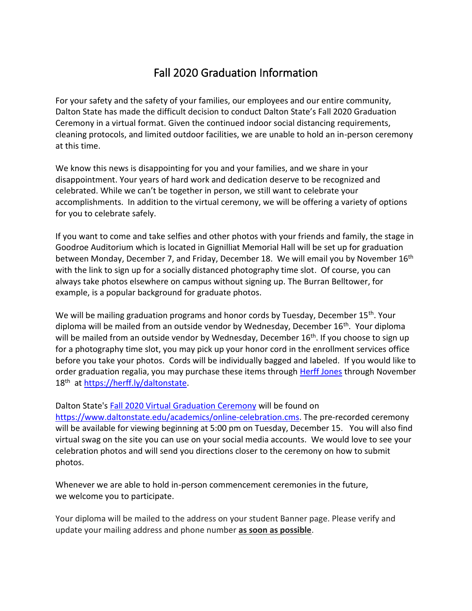## Fall 2020 Graduation Information

For your safety and the safety of your families, our employees and our entire community, Dalton State has made the difficult decision to conduct Dalton State's Fall 2020 Graduation Ceremony in a virtual format. Given the continued indoor social distancing requirements, cleaning protocols, and limited outdoor facilities, we are unable to hold an in-person ceremony at this time.

We know this news is disappointing for you and your families, and we share in your disappointment. Your years of hard work and dedication deserve to be recognized and celebrated. While we can't be together in person, we still want to celebrate your accomplishments. In addition to the virtual ceremony, we will be offering a variety of options for you to celebrate safely.

If you want to come and take selfies and other photos with your friends and family, the stage in Goodroe Auditorium which is located in Gignilliat Memorial Hall will be set up for graduation between Monday, December 7, and Friday, December 18. We will email you by November 16<sup>th</sup> with the link to sign up for a socially distanced photography time slot. Of course, you can always take photos elsewhere on campus without signing up. The Burran Belltower, for example, is a popular background for graduate photos.

We will be mailing graduation programs and honor cords by Tuesday, December 15<sup>th</sup>. Your diploma will be mailed from an outside vendor by Wednesday, December 16<sup>th</sup>. Your diploma will be mailed from an outside vendor by Wednesday, December 16<sup>th</sup>. If you choose to sign up for a photography time slot, you may pick up your honor cord in the enrollment services office before you take your photos. Cords will be individually bagged and labeled. If you would like to order graduation regalia, you may purchase these items through [Herff Jones](https://herff.ly/daltonstate) through November 18<sup>th</sup> at [https://herff.ly/daltonstate.](https://nam04.safelinks.protection.outlook.com/?url=https%3A%2F%2Fherff.ly%2Fdaltonstate&data=02%7C01%7Cjghayes%40daltonstate.edu%7C54f4da5ea66547661c1708d8485e69f1%7Cb7e81e5d72424dff8f1e47d691148e41%7C0%7C0%7C637338917648938606&sdata=lWMxgtY%2F0z2f5HfOWvrPkYam9iUtvIm1tR3M9w2UjV8%3D&reserved=0)

## Dalton State's [Fall 2020 Virtual Graduation Ceremony](https://nam04.safelinks.protection.outlook.com/?url=https%3A%2F%2Fwww.daltonstate.edu%2Facademics%2Fonline-celebration.cms&data=02%7C01%7Cjghayes%40daltonstate.edu%7C27baf614cd314f37ebf708d86fb7cc53%7Cb7e81e5d72424dff8f1e47d691148e41%7C0%7C0%7C637382182479104065&sdata=gvW6XOe9BbCTXGDBxELPlfNs0n8javDIaMEixJHNlNY%3D&reserved=0) will be found on

[https://www.daltonstate.edu/academics/online-celebration.cms.](https://nam04.safelinks.protection.outlook.com/?url=https%3A%2F%2Fwww.daltonstate.edu%2Facademics%2Fonline-celebration.cms&data=02%7C01%7Cjghayes%40daltonstate.edu%7C27baf614cd314f37ebf708d86fb7cc53%7Cb7e81e5d72424dff8f1e47d691148e41%7C0%7C0%7C637382182479104065&sdata=gvW6XOe9BbCTXGDBxELPlfNs0n8javDIaMEixJHNlNY%3D&reserved=0) The pre-recorded ceremony will be available for viewing beginning at 5:00 pm on Tuesday, December 15. You will also find virtual swag on the site you can use on your social media accounts. We would love to see your celebration photos and will send you directions closer to the ceremony on how to submit photos.

Whenever we are able to hold in-person commencement ceremonies in the future, we welcome you to participate.

Your diploma will be mailed to the address on your student Banner page. Please verify and update your mailing address and phone number **as soon as possible**.